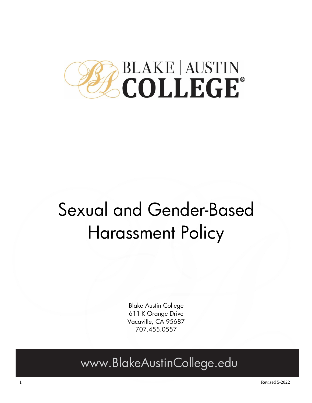

# Sexual and Gender-Based Harassment Policy

Blake Austin College 611-K Orange Drive Vacaville, CA 95687 707.455.0557

[www.BlakeAustinCollege.edu](http://www.blakeaustincollege.edu/)

1 Revised 5-2022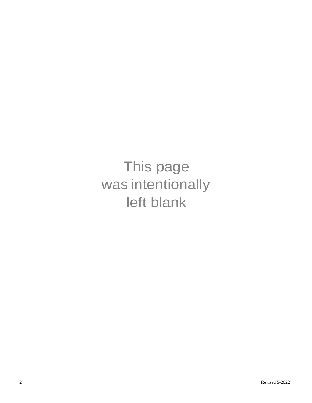This page was intentionally left blank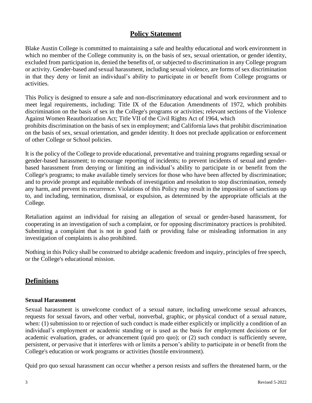## **Policy Statement**

Blake Austin College is committed to maintaining a safe and healthy educational and work environment in which no member of the College community is, on the basis of sex, sexual orientation, or gender identity, excluded from participation in, denied the benefits of, or subjected to discrimination in any College program or activity. Gender-based and sexual harassment, including sexual violence, are forms of sex discrimination in that they deny or limit an individual's ability to participate in or benefit from College programs or activities.

This Policy is designed to ensure a safe and non-discriminatory educational and work environment and to meet legal requirements, including: Title IX of the Education Amendments of 1972, which prohibits discrimination on the basis of sex in the College's programs or activities; relevant sections of the Violence Against Women Reauthorization Act; Title VII of the Civil Rights Act of 1964, which prohibits discrimination on the basis of sex in employment; and California laws that prohibit discrimination on the basis of sex, sexual orientation, and gender identity. It does not preclude application or enforcement of other College or School policies.

It is the policy of the College to provide educational, preventative and training programs regarding sexual or gender-based harassment; to encourage reporting of incidents; to prevent incidents of sexual and genderbased harassment from denying or limiting an individual's ability to participate in or benefit from the College's programs; to make available timely services for those who have been affected by discrimination; and to provide prompt and equitable methods of investigation and resolution to stop discrimination, remedy any harm, and prevent its recurrence. Violations of this Policy may result in the imposition of sanctions up to, and including, termination, dismissal, or expulsion, as determined by the appropriate officials at the College.

Retaliation against an individual for raising an allegation of sexual or gender-based harassment, for cooperating in an investigation of such a complaint, or for opposing discriminatory practices is prohibited. Submitting a complaint that is not in good faith or providing false or misleading information in any investigation of complaints is also prohibited.

Nothing in this Policy shall be construed to abridge academic freedom and inquiry, principles of free speech, or the College's educational mission.

## **Definitions**

#### **Sexual Harassment**

Sexual harassment is unwelcome conduct of a sexual nature, including unwelcome sexual advances, requests for sexual favors, and other verbal, nonverbal, graphic, or physical conduct of a sexual nature, when: (1) submission to or rejection of such conduct is made either explicitly or implicitly a condition of an individual's employment or academic standing or is used as the basis for employment decisions or for academic evaluation, grades, or advancement (quid pro quo); or (2) such conduct is sufficiently severe, persistent, or pervasive that it interferes with or limits a person's ability to participate in or benefit from the College's education or work programs or activities (hostile environment).

Quid pro quo sexual harassment can occur whether a person resists and suffers the threatened harm, or the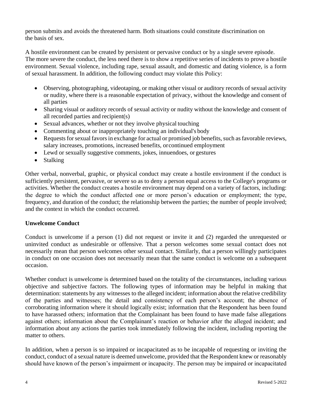person submits and avoids the threatened harm. Both situations could constitute discrimination on the basis of sex.

A hostile environment can be created by persistent or pervasive conduct or by a single severe episode. The more severe the conduct, the less need there is to show a repetitive series of incidents to prove a hostile environment. Sexual violence, including rape, sexual assault, and domestic and dating violence, is a form of sexual harassment. In addition, the following conduct may violate this Policy:

- Observing, photographing, videotaping, or making other visual or auditory records of sexual activity or nudity, where there is a reasonable expectation of privacy, without the knowledge and consent of all parties
- Sharing visual or auditory records of sexual activity or nudity without the knowledge and consent of all recorded parties and recipient(s)
- Sexual advances, whether or not they involve physical touching
- Commenting about or inappropriately touching an individual's body
- Requests for sexual favors in exchange for actual or promised job benefits, such as favorable reviews, salary increases, promotions, increased benefits, orcontinued employment
- Lewd or sexually suggestive comments, jokes, innuendoes, or gestures
- Stalking

Other verbal, nonverbal, graphic, or physical conduct may create a hostile environment if the conduct is sufficiently persistent, pervasive, or severe so as to deny a person equal access to the College's programs or activities. Whether the conduct creates a hostile environment may depend on a variety of factors, including: the degree to which the conduct affected one or more person's education or employment; the type, frequency, and duration of the conduct; the relationship between the parties; the number of people involved; and the context in which the conduct occurred.

#### **Unwelcome Conduct**

Conduct is unwelcome if a person (1) did not request or invite it and (2) regarded the unrequested or uninvited conduct as undesirable or offensive. That a person welcomes some sexual contact does not necessarily mean that person welcomes other sexual contact. Similarly, that a person willingly participates in conduct on one occasion does not necessarily mean that the same conduct is welcome on a subsequent occasion.

Whether conduct is unwelcome is determined based on the totality of the circumstances, including various objective and subjective factors. The following types of information may be helpful in making that determination: statements by any witnesses to the alleged incident; information about the relative credibility of the parties and witnesses; the detail and consistency of each person's account; the absence of corroborating information where it should logically exist; information that the Respondent has been found to have harassed others; information that the Complainant has been found to have made false allegations against others; information about the Complainant's reaction or behavior after the alleged incident; and information about any actions the parties took immediately following the incident, including reporting the matter to others.

In addition, when a person is so impaired or incapacitated as to be incapable of requesting or inviting the conduct, conduct of a sexual nature is deemed unwelcome, provided that the Respondent knew or reasonably should have known of the person's impairment or incapacity. The person may be impaired or incapacitated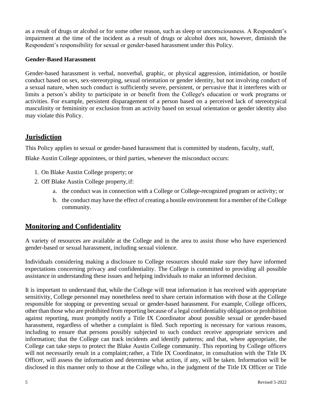as a result of drugs or alcohol or for some other reason, such as sleep or unconsciousness. A Respondent's impairment at the time of the incident as a result of drugs or alcohol does not, however, diminish the Respondent's responsibility for sexual or gender-based harassment under this Policy.

#### **Gender-Based Harassment**

Gender-based harassment is verbal, nonverbal, graphic, or physical aggression, intimidation, or hostile conduct based on sex, sex-stereotyping, sexual orientation or gender identity, but not involving conduct of a sexual nature, when such conduct is sufficiently severe, persistent, or pervasive that it interferes with or limits a person's ability to participate in or benefit from the College's education or work programs or activities. For example, persistent disparagement of a person based on a perceived lack of stereotypical masculinity or femininity or exclusion from an activity based on sexual orientation or gender identity also may violate this Policy.

## **Jurisdiction**

This Policy applies to sexual or gender-based harassment that is committed by students, faculty, staff,

Blake Austin College appointees, or third parties, whenever the misconduct occurs:

- 1. On Blake Austin College property; or
- 2. Off Blake Austin College property,if:
	- a. the conduct was in connection with a College or College-recognized program or activity; or
	- b. the conduct may have the effect of creating a hostile environment for a member of the College community.

## **Monitoring and Confidentiality**

A variety of resources are available at the College and in the area to assist those who have experienced gender-based or sexual harassment, including sexual violence.

Individuals considering making a disclosure to College resources should make sure they have informed expectations concerning privacy and confidentiality. The College is committed to providing all possible assistance in understanding these issues and helping individuals to make an informed decision.

It is important to understand that, while the College will treat information it has received with appropriate sensitivity, College personnel may nonetheless need to share certain information with those at the College responsible for stopping or preventing sexual or gender-based harassment. For example, College officers, other than those who are prohibited from reporting because of a legal confidentiality obligation or prohibition against reporting, must promptly notify a Title IX Coordinator about possible sexual or gender-based harassment, regardless of whether a complaint is filed. Such reporting is necessary for various reasons, including to ensure that persons possibly subjected to such conduct receive appropriate services and information; that the College can track incidents and identify patterns; and that, where appropriate, the College can take steps to protect the Blake Austin College community. This reporting by College officers will not necessarily result in a complaint; rather, a Title IX Coordinator, in consultation with the Title IX Officer, will assess the information and determine what action, if any, will be taken. Information will be disclosed in this manner only to those at the College who, in the judgment of the Title IX Officer or Title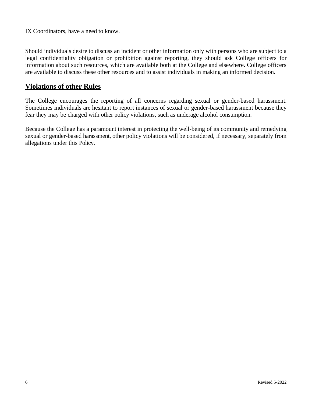IX Coordinators, have a need to know.

Should individuals desire to discuss an incident or other information only with persons who are subject to a legal confidentiality obligation or prohibition against reporting, they should ask College officers for information about such resources, which are available both at the College and elsewhere. College officers are available to discuss these other resources and to assist individuals in making an informed decision.

## **Violations of other Rules**

The College encourages the reporting of all concerns regarding sexual or gender-based harassment. Sometimes individuals are hesitant to report instances of sexual or gender-based harassment because they fear they may be charged with other policy violations, such as underage alcohol consumption.

Because the College has a paramount interest in protecting the well-being of its community and remedying sexual or gender-based harassment, other policy violations will be considered, if necessary, separately from allegations under this Policy.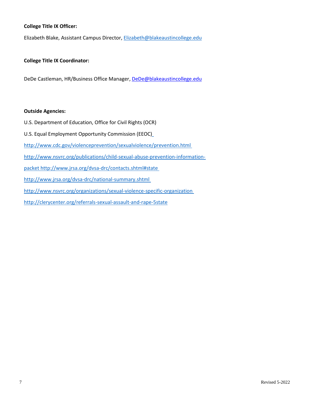#### **College Title IX Officer:**

Elizabeth Blake, Assistant Campus Director, [Elizabeth@blakeaustincollege.edu](mailto:Elizabeth@blakeaustincollege.edu)

#### **College Title IX Coordinator:**

DeDe Castleman, HR/Business Office Manager[, DeDe@blakeaustincollege.edu](mailto:DeDe@blakeaustincollege.edu)

#### **Outside Agencies:**

- U.S. Department of Education, Office for Civil Rights (OCR)
- U.S. Equal Employment Opportunity Commission (EEOC)
- <http://www.cdc.gov/violenceprevention/sexualviolence/prevention.html>
- [http://www.nsvrc.org/publications/child-sexual-abuse-prevention-information-](http://www.cdc.gov/violenceprevention/sexualviolence/prevention.html)
- [packet http://www.jrsa.org/dvsa-drc/contacts.shtml#state](http://www.nsvrc.org/publications/child-sexual-abuse-prevention-information-packet)
- [http://www.jrsa.org/dvsa-drc/national-summary.shtml](http://www.jrsa.org/dvsa-drc/contacts.shtml#state)
- [http://www.nsvrc.org/organizations/sexual-violence-specific-organization](http://www.jrsa.org/dvsa-drc/national-summary.shtml)
- [http://clerycenter.org/referrals-sexual-assault-and-rape-5state](http://www.nsvrc.org/organizations/sexual-violence-specific-organization)